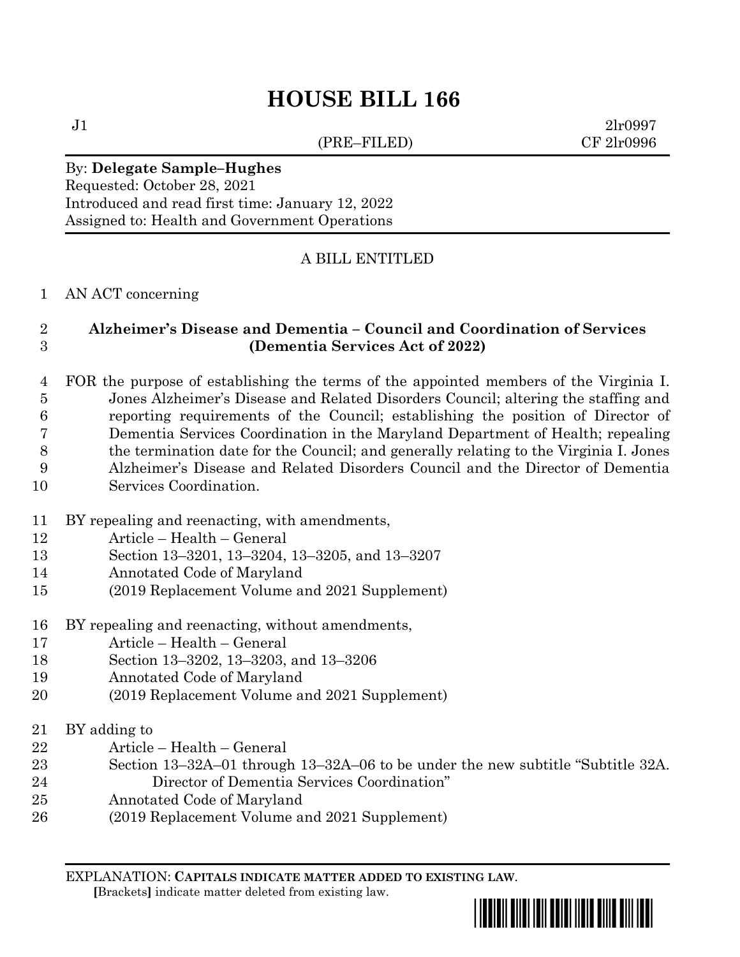(PRE–FILED) CF 2lr0996

 $J1$  2lr0997

### By: **Delegate Sample–Hughes**

Requested: October 28, 2021 Introduced and read first time: January 12, 2022 Assigned to: Health and Government Operations

## A BILL ENTITLED

#### AN ACT concerning

## **Alzheimer's Disease and Dementia – Council and Coordination of Services (Dementia Services Act of 2022)**

 FOR the purpose of establishing the terms of the appointed members of the Virginia I. Jones Alzheimer's Disease and Related Disorders Council; altering the staffing and reporting requirements of the Council; establishing the position of Director of Dementia Services Coordination in the Maryland Department of Health; repealing the termination date for the Council; and generally relating to the Virginia I. Jones Alzheimer's Disease and Related Disorders Council and the Director of Dementia Services Coordination.

- BY repealing and reenacting, with amendments,
- Article Health General
- Section 13–3201, 13–3204, 13–3205, and 13–3207
- Annotated Code of Maryland
- (2019 Replacement Volume and 2021 Supplement)
- BY repealing and reenacting, without amendments,
- Article Health General
- Section 13–3202, 13–3203, and 13–3206
- Annotated Code of Maryland
- (2019 Replacement Volume and 2021 Supplement)
- BY adding to
- Article Health General
- Section 13–32A–01 through 13–32A–06 to be under the new subtitle "Subtitle 32A. Director of Dementia Services Coordination"
- Annotated Code of Maryland
- (2019 Replacement Volume and 2021 Supplement)

EXPLANATION: **CAPITALS INDICATE MATTER ADDED TO EXISTING LAW**.  **[**Brackets**]** indicate matter deleted from existing law.

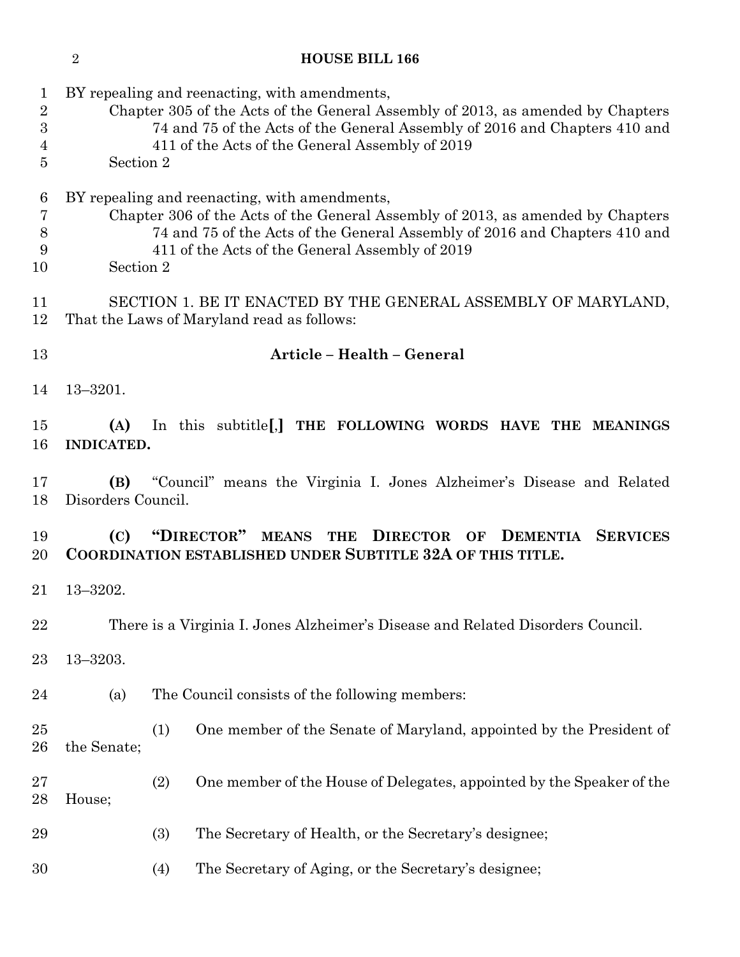| $\mathbf 1$<br>$\boldsymbol{2}$<br>$\boldsymbol{3}$<br>4<br>5 |                                                                                                                                                                           | BY repealing and reenacting, with amendments,<br>Chapter 305 of the Acts of the General Assembly of 2013, as amended by Chapters<br>74 and 75 of the Acts of the General Assembly of 2016 and Chapters 410 and<br>411 of the Acts of the General Assembly of 2019<br>Section 2 |                                                                       |  |  |  |  |  |  |  |  |  |  |
|---------------------------------------------------------------|---------------------------------------------------------------------------------------------------------------------------------------------------------------------------|--------------------------------------------------------------------------------------------------------------------------------------------------------------------------------------------------------------------------------------------------------------------------------|-----------------------------------------------------------------------|--|--|--|--|--|--|--|--|--|--|
| $\boldsymbol{6}$<br>7<br>8<br>9<br>10                         |                                                                                                                                                                           | BY repealing and reenacting, with amendments,<br>Chapter 306 of the Acts of the General Assembly of 2013, as amended by Chapters<br>74 and 75 of the Acts of the General Assembly of 2016 and Chapters 410 and<br>411 of the Acts of the General Assembly of 2019<br>Section 2 |                                                                       |  |  |  |  |  |  |  |  |  |  |
| 11<br>12                                                      |                                                                                                                                                                           | SECTION 1. BE IT ENACTED BY THE GENERAL ASSEMBLY OF MARYLAND,<br>That the Laws of Maryland read as follows:                                                                                                                                                                    |                                                                       |  |  |  |  |  |  |  |  |  |  |
| 13                                                            | Article - Health - General                                                                                                                                                |                                                                                                                                                                                                                                                                                |                                                                       |  |  |  |  |  |  |  |  |  |  |
| 14                                                            | $13 - 3201.$                                                                                                                                                              |                                                                                                                                                                                                                                                                                |                                                                       |  |  |  |  |  |  |  |  |  |  |
| 15<br>16                                                      | In this subtitle [,] THE FOLLOWING WORDS HAVE THE MEANINGS<br>(A)<br><b>INDICATED.</b>                                                                                    |                                                                                                                                                                                                                                                                                |                                                                       |  |  |  |  |  |  |  |  |  |  |
| 17<br>18                                                      | "Council" means the Virginia I. Jones Alzheimer's Disease and Related<br>(B)<br>Disorders Council.                                                                        |                                                                                                                                                                                                                                                                                |                                                                       |  |  |  |  |  |  |  |  |  |  |
| 19<br>20                                                      | "DIRECTOR" MEANS<br>(C)<br><b>THE</b><br><b>DIRECTOR</b><br><b>DEMENTIA</b><br><b>SERVICES</b><br>OF<br><b>COORDINATION ESTABLISHED UNDER SUBTITLE 32A OF THIS TITLE.</b> |                                                                                                                                                                                                                                                                                |                                                                       |  |  |  |  |  |  |  |  |  |  |
| $21\,$                                                        | $13 - 3202.$                                                                                                                                                              |                                                                                                                                                                                                                                                                                |                                                                       |  |  |  |  |  |  |  |  |  |  |
| 22                                                            | There is a Virginia I. Jones Alzheimer's Disease and Related Disorders Council.                                                                                           |                                                                                                                                                                                                                                                                                |                                                                       |  |  |  |  |  |  |  |  |  |  |
| $^{23}$                                                       | $13 - 3203.$                                                                                                                                                              |                                                                                                                                                                                                                                                                                |                                                                       |  |  |  |  |  |  |  |  |  |  |
| 24                                                            | (a)                                                                                                                                                                       |                                                                                                                                                                                                                                                                                | The Council consists of the following members:                        |  |  |  |  |  |  |  |  |  |  |
| 25<br>26                                                      | the Senate;                                                                                                                                                               | (1)                                                                                                                                                                                                                                                                            | One member of the Senate of Maryland, appointed by the President of   |  |  |  |  |  |  |  |  |  |  |
| $27\,$<br>$^{28}$                                             | House;                                                                                                                                                                    | (2)                                                                                                                                                                                                                                                                            | One member of the House of Delegates, appointed by the Speaker of the |  |  |  |  |  |  |  |  |  |  |
| 29                                                            |                                                                                                                                                                           | (3)                                                                                                                                                                                                                                                                            | The Secretary of Health, or the Secretary's designee;                 |  |  |  |  |  |  |  |  |  |  |
| 30                                                            |                                                                                                                                                                           | (4)                                                                                                                                                                                                                                                                            | The Secretary of Aging, or the Secretary's designee;                  |  |  |  |  |  |  |  |  |  |  |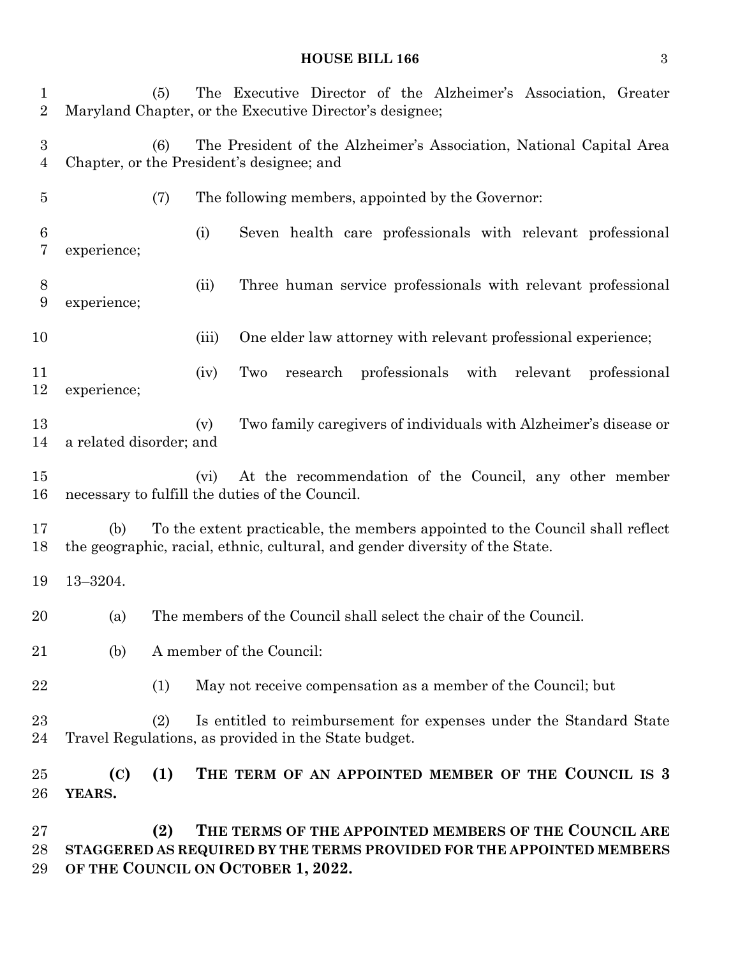# **HOUSE BILL 166** 3

| 1<br>$\overline{2}$   |                                                                                                                                                                      | (5)                                                                                                                     |       | The Executive Director of the Alzheimer's Association, Greater<br>Maryland Chapter, or the Executive Director's designee;      |  |  |  |  |  |  |
|-----------------------|----------------------------------------------------------------------------------------------------------------------------------------------------------------------|-------------------------------------------------------------------------------------------------------------------------|-------|--------------------------------------------------------------------------------------------------------------------------------|--|--|--|--|--|--|
| $\boldsymbol{3}$<br>4 |                                                                                                                                                                      | The President of the Alzheimer's Association, National Capital Area<br>(6)<br>Chapter, or the President's designee; and |       |                                                                                                                                |  |  |  |  |  |  |
| $\overline{5}$        |                                                                                                                                                                      | (7)<br>The following members, appointed by the Governor:                                                                |       |                                                                                                                                |  |  |  |  |  |  |
| 6<br>7                | experience;                                                                                                                                                          |                                                                                                                         | (i)   | Seven health care professionals with relevant professional                                                                     |  |  |  |  |  |  |
| 8<br>9                | experience;                                                                                                                                                          |                                                                                                                         | (ii)  | Three human service professionals with relevant professional                                                                   |  |  |  |  |  |  |
| 10                    |                                                                                                                                                                      |                                                                                                                         | (iii) | One elder law attorney with relevant professional experience;                                                                  |  |  |  |  |  |  |
| 11<br>12              | experience;                                                                                                                                                          |                                                                                                                         | (iv)  | professionals<br>Two<br>with<br>relevant<br>professional<br>research                                                           |  |  |  |  |  |  |
| 13<br>14              | a related disorder; and                                                                                                                                              |                                                                                                                         | (v)   | Two family caregivers of individuals with Alzheimer's disease or                                                               |  |  |  |  |  |  |
| 15<br>16              |                                                                                                                                                                      |                                                                                                                         | (vi)  | At the recommendation of the Council, any other member<br>necessary to fulfill the duties of the Council.                      |  |  |  |  |  |  |
| 17<br>18              | To the extent practicable, the members appointed to the Council shall reflect<br>(b)<br>the geographic, racial, ethnic, cultural, and gender diversity of the State. |                                                                                                                         |       |                                                                                                                                |  |  |  |  |  |  |
| 19                    | $13 - 3204.$                                                                                                                                                         |                                                                                                                         |       |                                                                                                                                |  |  |  |  |  |  |
| 20                    | (a)                                                                                                                                                                  | The members of the Council shall select the chair of the Council.                                                       |       |                                                                                                                                |  |  |  |  |  |  |
| 21                    | (b)                                                                                                                                                                  | A member of the Council:                                                                                                |       |                                                                                                                                |  |  |  |  |  |  |
| 22                    |                                                                                                                                                                      | (1)<br>May not receive compensation as a member of the Council; but                                                     |       |                                                                                                                                |  |  |  |  |  |  |
| 23<br>24              | (2)<br>Is entitled to reimbursement for expenses under the Standard State<br>Travel Regulations, as provided in the State budget.                                    |                                                                                                                         |       |                                                                                                                                |  |  |  |  |  |  |
| $25\,$<br>26          | (C)<br>YEARS.                                                                                                                                                        | (1)                                                                                                                     |       | THE TERM OF AN APPOINTED MEMBER OF THE COUNCIL IS 3                                                                            |  |  |  |  |  |  |
| $27\,$<br>28          |                                                                                                                                                                      | (2)                                                                                                                     |       | THE TERMS OF THE APPOINTED MEMBERS OF THE COUNCIL ARE<br>STAGGERED AS REQUIRED BY THE TERMS PROVIDED FOR THE APPOINTED MEMBERS |  |  |  |  |  |  |

**OF THE COUNCIL ON OCTOBER 1, 2022.**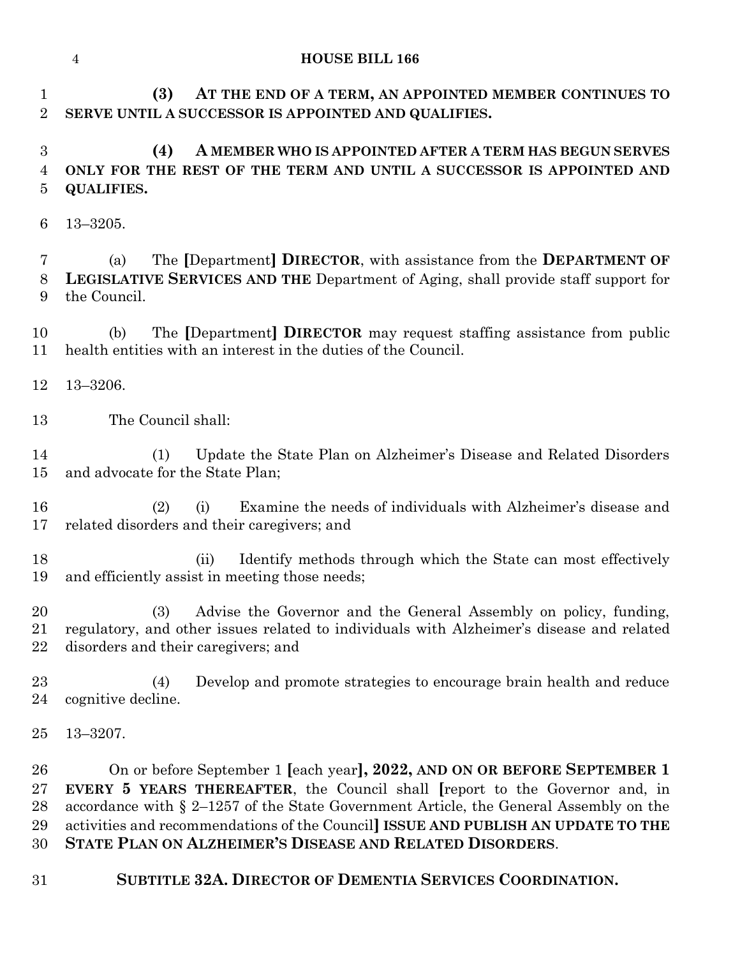**(3) AT THE END OF A TERM, AN APPOINTED MEMBER CONTINUES TO SERVE UNTIL A SUCCESSOR IS APPOINTED AND QUALIFIES.**

# **(4) A MEMBER WHO IS APPOINTED AFTER A TERM HAS BEGUN SERVES ONLY FOR THE REST OF THE TERM AND UNTIL A SUCCESSOR IS APPOINTED AND QUALIFIES.**

13–3205.

 (a) The **[**Department**] DIRECTOR**, with assistance from the **DEPARTMENT OF LEGISLATIVE SERVICES AND THE** Department of Aging, shall provide staff support for the Council.

 (b) The **[**Department**] DIRECTOR** may request staffing assistance from public health entities with an interest in the duties of the Council.

- 13–3206.
- The Council shall:

 (1) Update the State Plan on Alzheimer's Disease and Related Disorders and advocate for the State Plan;

- (2) (i) Examine the needs of individuals with Alzheimer's disease and related disorders and their caregivers; and
- (ii) Identify methods through which the State can most effectively and efficiently assist in meeting those needs;

 (3) Advise the Governor and the General Assembly on policy, funding, regulatory, and other issues related to individuals with Alzheimer's disease and related disorders and their caregivers; and

 (4) Develop and promote strategies to encourage brain health and reduce cognitive decline.

13–3207.

 On or before September 1 **[**each year**], 2022, AND ON OR BEFORE SEPTEMBER 1 EVERY 5 YEARS THEREAFTER**, the Council shall **[**report to the Governor and, in accordance with § 2–1257 of the State Government Article, the General Assembly on the activities and recommendations of the Council**] ISSUE AND PUBLISH AN UPDATE TO THE STATE PLAN ON ALZHEIMER'S DISEASE AND RELATED DISORDERS**.

**SUBTITLE 32A. DIRECTOR OF DEMENTIA SERVICES COORDINATION.**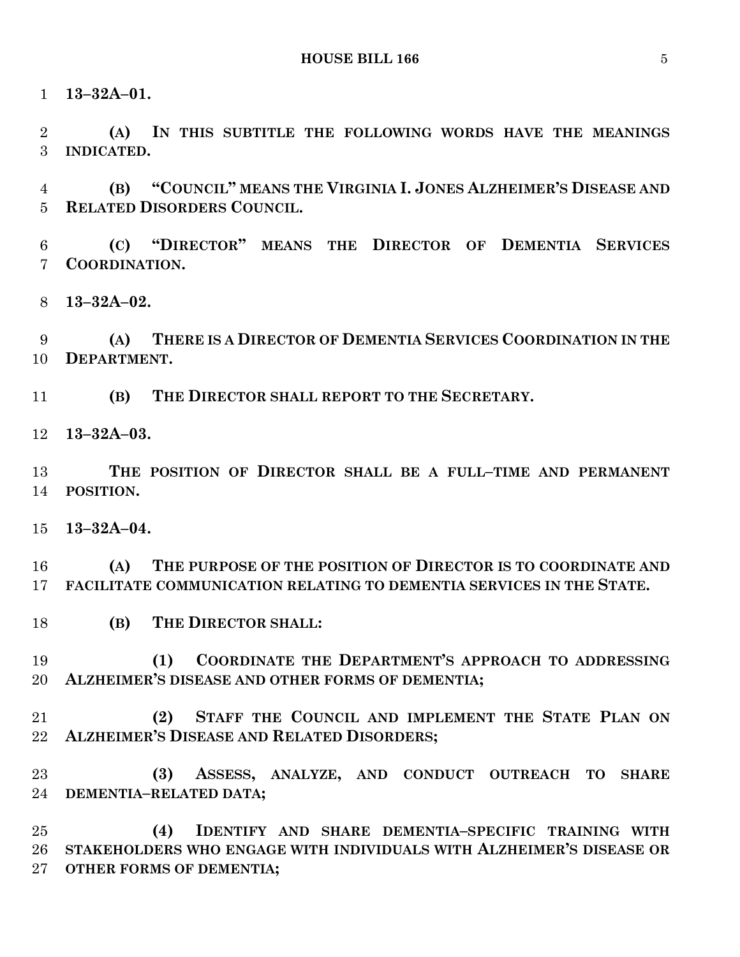**13–32A–01.**

 **(A) IN THIS SUBTITLE THE FOLLOWING WORDS HAVE THE MEANINGS INDICATED.**

 **(B) "COUNCIL" MEANS THE VIRGINIA I. JONES ALZHEIMER'S DISEASE AND RELATED DISORDERS COUNCIL.**

 **(C) "DIRECTOR" MEANS THE DIRECTOR OF DEMENTIA SERVICES COORDINATION.**

**13–32A–02.**

 **(A) THERE IS A DIRECTOR OF DEMENTIA SERVICES COORDINATION IN THE DEPARTMENT.**

**(B) THE DIRECTOR SHALL REPORT TO THE SECRETARY.**

**13–32A–03.**

 **THE POSITION OF DIRECTOR SHALL BE A FULL–TIME AND PERMANENT POSITION.**

**13–32A–04.**

 **(A) THE PURPOSE OF THE POSITION OF DIRECTOR IS TO COORDINATE AND FACILITATE COMMUNICATION RELATING TO DEMENTIA SERVICES IN THE STATE.**

**(B) THE DIRECTOR SHALL:**

 **(1) COORDINATE THE DEPARTMENT'S APPROACH TO ADDRESSING ALZHEIMER'S DISEASE AND OTHER FORMS OF DEMENTIA;**

 **(2) STAFF THE COUNCIL AND IMPLEMENT THE STATE PLAN ON ALZHEIMER'S DISEASE AND RELATED DISORDERS;**

 **(3) ASSESS, ANALYZE, AND CONDUCT OUTREACH TO SHARE DEMENTIA–RELATED DATA;**

 **(4) IDENTIFY AND SHARE DEMENTIA–SPECIFIC TRAINING WITH STAKEHOLDERS WHO ENGAGE WITH INDIVIDUALS WITH ALZHEIMER'S DISEASE OR OTHER FORMS OF DEMENTIA;**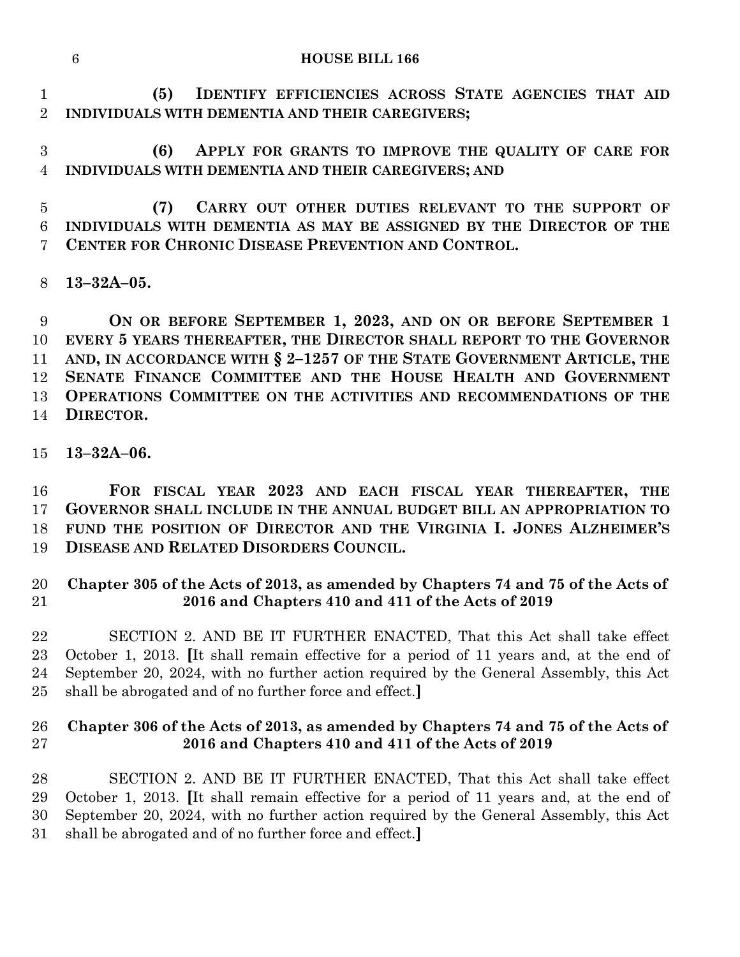|                                                   |  | (5) IDENTIFY EFFICIENCIES ACROSS STATE AGENCIES THAT AID |  |  |  |  |  |  |  |
|---------------------------------------------------|--|----------------------------------------------------------|--|--|--|--|--|--|--|
| 2 INDIVIDUALS WITH DEMENTIA AND THEIR CAREGIVERS; |  |                                                          |  |  |  |  |  |  |  |

 **(6) APPLY FOR GRANTS TO IMPROVE THE QUALITY OF CARE FOR INDIVIDUALS WITH DEMENTIA AND THEIR CAREGIVERS; AND**

 **(7) CARRY OUT OTHER DUTIES RELEVANT TO THE SUPPORT OF INDIVIDUALS WITH DEMENTIA AS MAY BE ASSIGNED BY THE DIRECTOR OF THE CENTER FOR CHRONIC DISEASE PREVENTION AND CONTROL.**

**13–32A–05.**

 **ON OR BEFORE SEPTEMBER 1, 2023, AND ON OR BEFORE SEPTEMBER 1 EVERY 5 YEARS THEREAFTER, THE DIRECTOR SHALL REPORT TO THE GOVERNOR AND, IN ACCORDANCE WITH § 2–1257 OF THE STATE GOVERNMENT ARTICLE, THE SENATE FINANCE COMMITTEE AND THE HOUSE HEALTH AND GOVERNMENT OPERATIONS COMMITTEE ON THE ACTIVITIES AND RECOMMENDATIONS OF THE DIRECTOR.**

**13–32A–06.**

 **FOR FISCAL YEAR 2023 AND EACH FISCAL YEAR THEREAFTER, THE GOVERNOR SHALL INCLUDE IN THE ANNUAL BUDGET BILL AN APPROPRIATION TO FUND THE POSITION OF DIRECTOR AND THE VIRGINIA I. JONES ALZHEIMER'S DISEASE AND RELATED DISORDERS COUNCIL.**

## **Chapter 305 of the Acts of 2013, as amended by Chapters 74 and 75 of the Acts of 2016 and Chapters 410 and 411 of the Acts of 2019**

 SECTION 2. AND BE IT FURTHER ENACTED, That this Act shall take effect October 1, 2013. **[**It shall remain effective for a period of 11 years and, at the end of September 20, 2024, with no further action required by the General Assembly, this Act shall be abrogated and of no further force and effect.**]**

## **Chapter 306 of the Acts of 2013, as amended by Chapters 74 and 75 of the Acts of 2016 and Chapters 410 and 411 of the Acts of 2019**

 SECTION 2. AND BE IT FURTHER ENACTED, That this Act shall take effect October 1, 2013. **[**It shall remain effective for a period of 11 years and, at the end of September 20, 2024, with no further action required by the General Assembly, this Act shall be abrogated and of no further force and effect.**]**